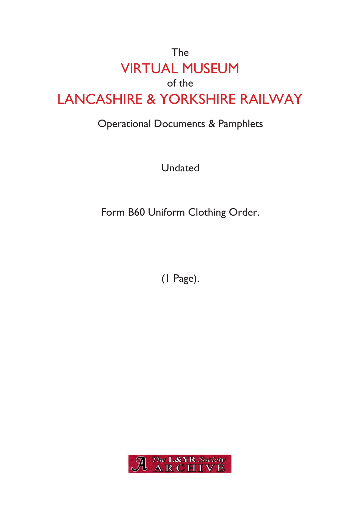## The VIRTUAL MUSEUM of the LANCASHIRE & YORKSHIRE RAILWAY

## Operational Documents & Pamphlets

Undated

Form B60 Uniform Clothing Order.

(1 Page).